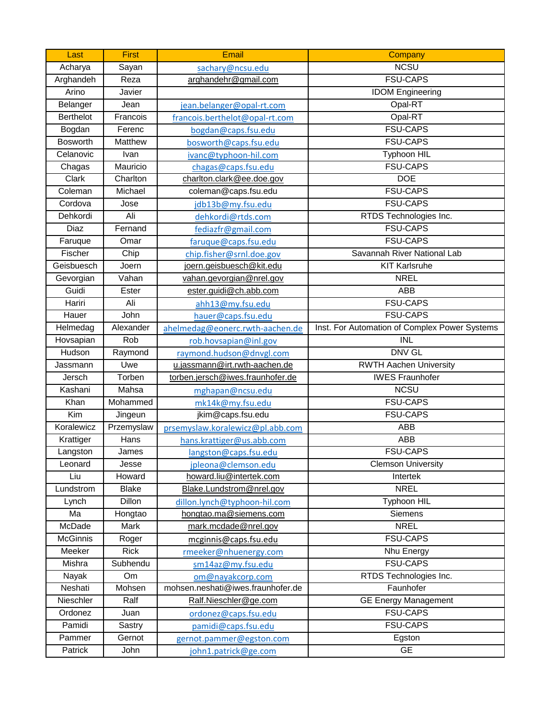| Last             | <b>First</b>                 | Email                             | Company                                       |
|------------------|------------------------------|-----------------------------------|-----------------------------------------------|
| Acharya          | Sayan                        | sachary@ncsu.edu                  | <b>NCSU</b>                                   |
| Arghandeh        | Reza                         | arghandehr@gmail.com              | <b>FSU-CAPS</b>                               |
| Arino            | Javier                       |                                   | <b>IDOM Engineering</b>                       |
| Belanger         | Jean                         | jean.belanger@opal-rt.com         | Opal-RT                                       |
| <b>Berthelot</b> | Francois                     | francois.berthelot@opal-rt.com    | Opal-RT                                       |
| Bogdan           | Ferenc                       | bogdan@caps.fsu.edu               | <b>FSU-CAPS</b>                               |
| <b>Bosworth</b>  | Matthew                      | bosworth@caps.fsu.edu             | <b>FSU-CAPS</b>                               |
| Celanovic        | Ivan                         | ivanc@typhoon-hil.com             | <b>Typhoon HIL</b>                            |
| Chagas           | Mauricio                     | chagas@caps.fsu.edu               | <b>FSU-CAPS</b>                               |
| Clark            | Charlton                     | charlton.clark@ee.doe.gov         | <b>DOE</b>                                    |
| Coleman          | Michael                      | coleman@caps.fsu.edu              | <b>FSU-CAPS</b>                               |
| Cordova          | Jose                         | jdb13b@my.fsu.edu                 | <b>FSU-CAPS</b>                               |
| Dehkordi         | Ali                          | dehkordi@rtds.com                 | RTDS Technologies Inc.                        |
| Diaz             | Fernand                      | fediazfr@gmail.com                | <b>FSU-CAPS</b>                               |
| Faruque          | Omar                         | faruque@caps.fsu.edu              | <b>FSU-CAPS</b>                               |
| Fischer          | Chip                         | chip.fisher@srnl.doe.gov          | Savannah River National Lab                   |
| Geisbuesch       | Joern                        | joern.geisbuesch@kit.edu          | <b>KIT Karlsruhe</b>                          |
| Gevorgian        | $\overline{\mathsf{V}}$ ahan | vahan.gevorgian@nrel.gov          | <b>NREL</b>                                   |
| Guidi            | Ester                        | ester.guidi@ch.abb.com            | <b>ABB</b>                                    |
| Hariri           | Ali                          | ahh13@my.fsu.edu                  | <b>FSU-CAPS</b>                               |
| Hauer            | John                         | hauer@caps.fsu.edu                | <b>FSU-CAPS</b>                               |
| Helmedag         | Alexander                    | ahelmedag@eonerc.rwth-aachen.de   | Inst. For Automation of Complex Power Systems |
| Hovsapian        | Rob                          | rob.hovsapian@inl.gov             | $\overline{\overline{\mathsf{INL}}}$          |
| Hudson           | Raymond                      | raymond.hudson@dnvgl.com          | <b>DNV GL</b>                                 |
| Jassmann         | Uwe                          | u.jassmann@irt.rwth-aachen.de     | <b>RWTH Aachen University</b>                 |
| Jersch           | Torben                       | torben.jersch@iwes.fraunhofer.de  | <b>IWES Fraunhofer</b>                        |
| Kashani          | Mahsa                        | mghapan@ncsu.edu                  | <b>NCSU</b>                                   |
| Khan             | Mohammed                     | mk14k@my.fsu.edu                  | <b>FSU-CAPS</b>                               |
| Kim              | Jingeun                      | jkim@caps.fsu.edu                 | <b>FSU-CAPS</b>                               |
| Koralewicz       | Przemyslaw                   | prsemyslaw.koralewicz@pl.abb.com  | ABB                                           |
| Krattiger        | Hans                         | hans.krattiger@us.abb.com         | ABB                                           |
| Langston         | James                        | langston@caps.fsu.edu             | <b>FSU-CAPS</b>                               |
| Leonard          | Jesse                        | jpleona@clemson.edu               | <b>Clemson University</b>                     |
| Liu              | Howard                       | howard.liu@intertek.com           | Intertek                                      |
| Lundstrom        | <b>Blake</b>                 | Blake.Lundstrom@nrel.gov          | <b>NREL</b>                                   |
| Lynch            | Dillon                       | dillon.lynch@typhoon-hil.com      | Typhoon HIL                                   |
| Ma               | Hongtao                      | hongtao.ma@siemens.com            | Siemens                                       |
| McDade           | Mark                         | mark.mcdade@nrel.gov              | <b>NREL</b>                                   |
| McGinnis         | Roger                        | mcginnis@caps.fsu.edu             | <b>FSU-CAPS</b>                               |
| Meeker           | <b>Rick</b>                  | rmeeker@nhuenergy.com             | Nhu Energy                                    |
| Mishra           | Subhendu                     | sm14az@my.fsu.edu                 | <b>FSU-CAPS</b>                               |
| Nayak            | Om                           | om@nayakcorp.com                  | RTDS Technologies Inc.                        |
| Neshati          | Mohsen                       | mohsen.neshati@iwes.fraunhofer.de | Faunhofer                                     |
| Nieschler        | Ralf                         | Ralf.Nieschler@ge.com             | <b>GE Energy Management</b>                   |
| Ordonez          | Juan                         | ordonez@caps.fsu.edu              | <b>FSU-CAPS</b>                               |
| Pamidi           | Sastry                       | pamidi@caps.fsu.edu               | <b>FSU-CAPS</b>                               |
| Pammer           | Gernot                       | gernot.pammer@egston.com          | Egston                                        |
| Patrick          | John                         | john1.patrick@ge.com              | <b>GE</b>                                     |